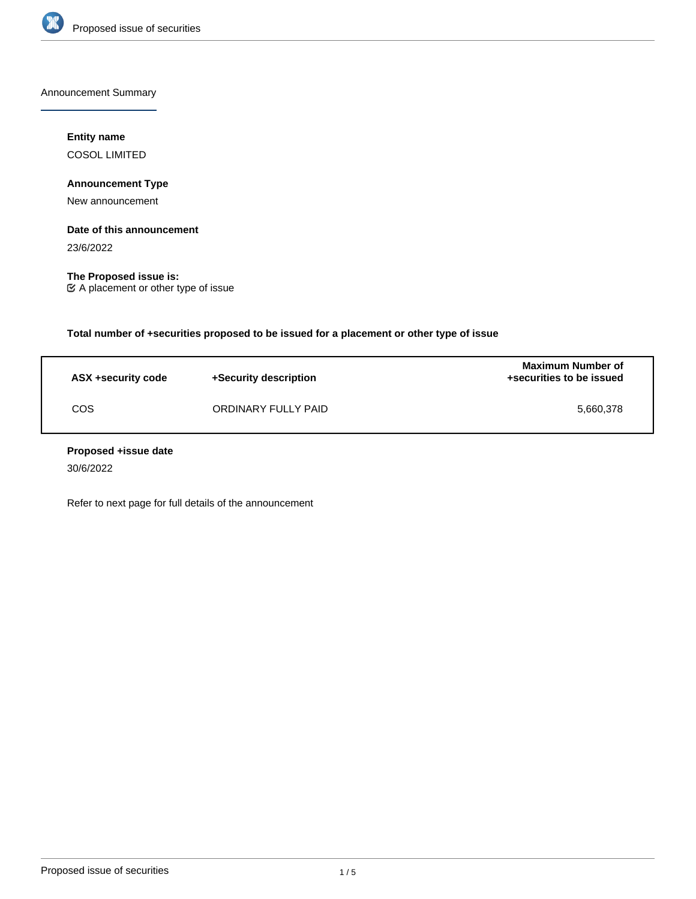

Announcement Summary

# **Entity name**

COSOL LIMITED

# **Announcement Type**

New announcement

## **Date of this announcement**

23/6/2022

**The Proposed issue is:** A placement or other type of issue

**Total number of +securities proposed to be issued for a placement or other type of issue**

| ASX +security code | +Security description | <b>Maximum Number of</b><br>+securities to be issued |
|--------------------|-----------------------|------------------------------------------------------|
| COS                | ORDINARY FULLY PAID   | 5.660.378                                            |

## **Proposed +issue date**

30/6/2022

Refer to next page for full details of the announcement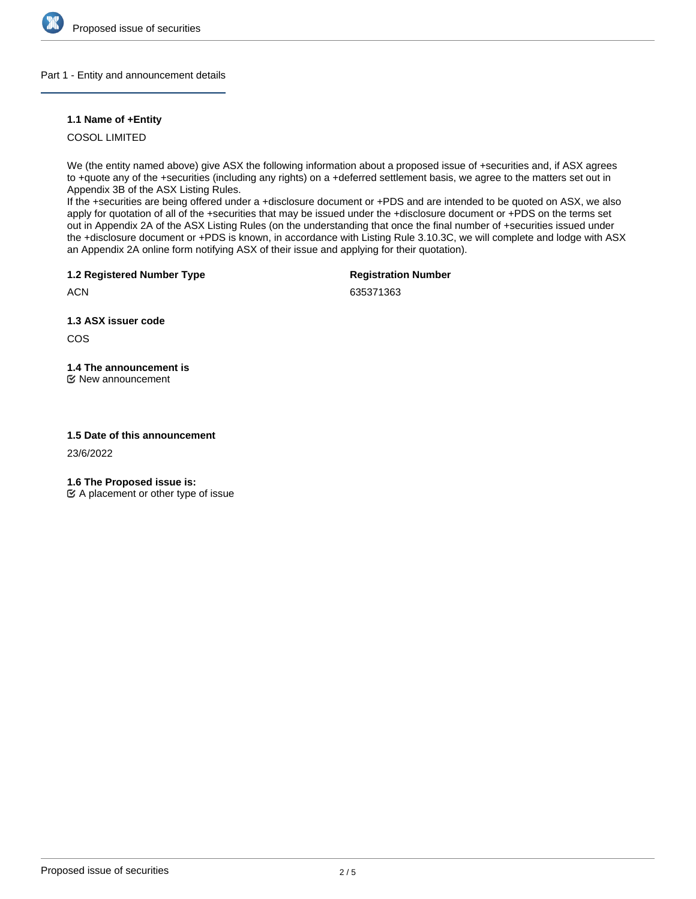

## Part 1 - Entity and announcement details

# **1.1 Name of +Entity**

COSOL LIMITED

We (the entity named above) give ASX the following information about a proposed issue of +securities and, if ASX agrees to +quote any of the +securities (including any rights) on a +deferred settlement basis, we agree to the matters set out in Appendix 3B of the ASX Listing Rules.

If the +securities are being offered under a +disclosure document or +PDS and are intended to be quoted on ASX, we also apply for quotation of all of the +securities that may be issued under the +disclosure document or +PDS on the terms set out in Appendix 2A of the ASX Listing Rules (on the understanding that once the final number of +securities issued under the +disclosure document or +PDS is known, in accordance with Listing Rule 3.10.3C, we will complete and lodge with ASX an Appendix 2A online form notifying ASX of their issue and applying for their quotation).

**1.2 Registered Number Type**

**Registration Number**

**ACN** 

635371363

**1.3 ASX issuer code**

COS

# **1.4 The announcement is**

New announcement

# **1.5 Date of this announcement**

23/6/2022

**1.6 The Proposed issue is:**

 $\mathfrak{C}$  A placement or other type of issue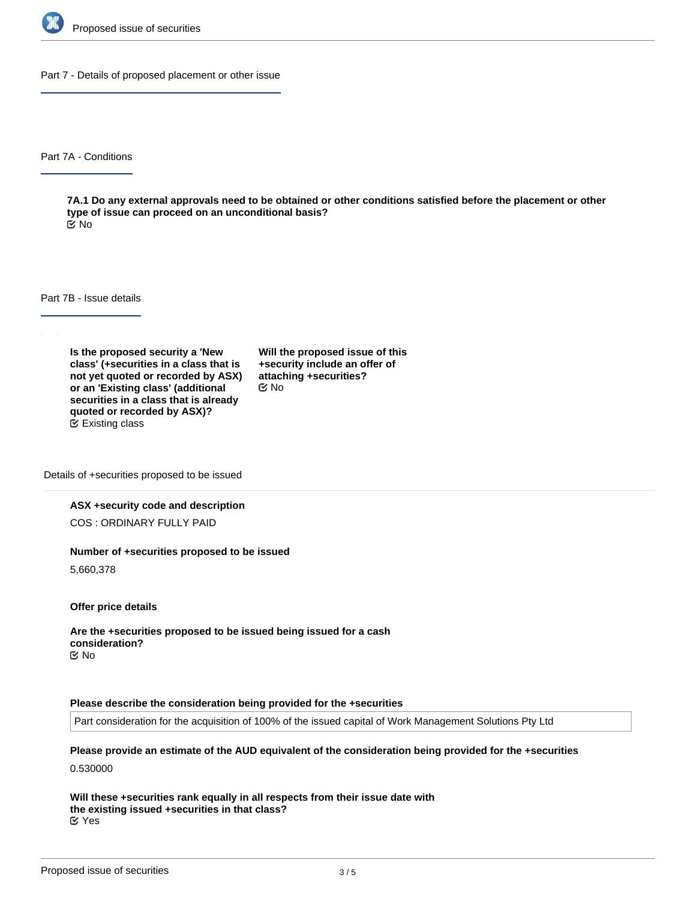

Part 7 - Details of proposed placement or other issue

Part 7A - Conditions

**7A.1 Do any external approvals need to be obtained or other conditions satisfied before the placement or other type of issue can proceed on an unconditional basis?** No

Part 7B - Issue details

**Is the proposed security a 'New class' (+securities in a class that is not yet quoted or recorded by ASX) or an 'Existing class' (additional securities in a class that is already quoted or recorded by ASX)?** Existing class

**Will the proposed issue of this +security include an offer of attaching +securities?** No

Details of +securities proposed to be issued

#### **ASX +security code and description**

COS : ORDINARY FULLY PAID

#### **Number of +securities proposed to be issued**

5,660,378

**Offer price details**

**Are the +securities proposed to be issued being issued for a cash consideration?** No

#### **Please describe the consideration being provided for the +securities**

Part consideration for the acquisition of 100% of the issued capital of Work Management Solutions Pty Ltd

**Please provide an estimate of the AUD equivalent of the consideration being provided for the +securities**

0.530000

**Will these +securities rank equally in all respects from their issue date with the existing issued +securities in that class?** Yes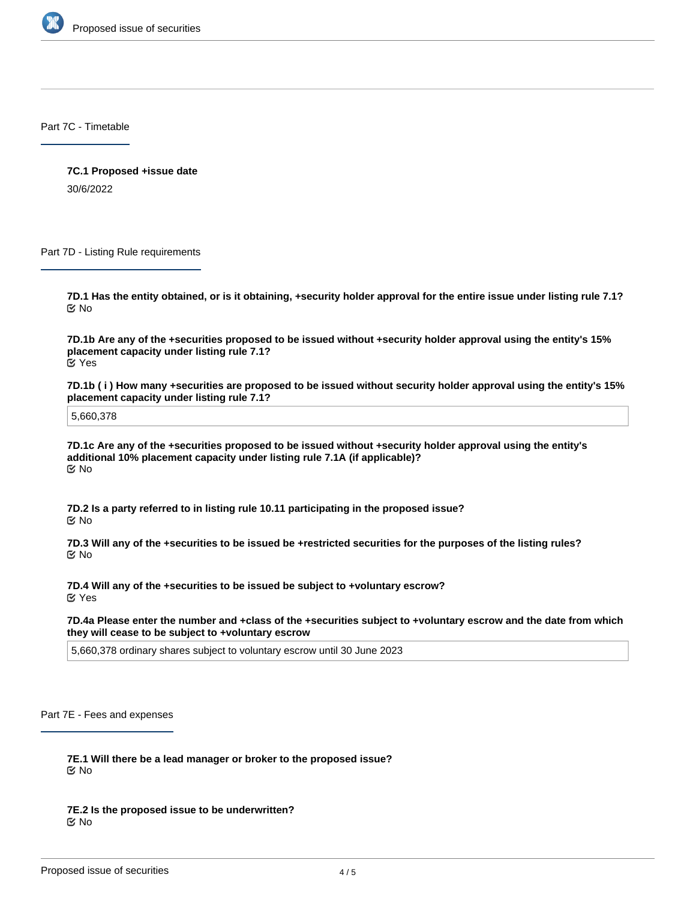

Part 7C - Timetable

**7C.1 Proposed +issue date** 30/6/2022

Part 7D - Listing Rule requirements

**7D.1 Has the entity obtained, or is it obtaining, +security holder approval for the entire issue under listing rule 7.1?** No

**7D.1b Are any of the +securities proposed to be issued without +security holder approval using the entity's 15% placement capacity under listing rule 7.1?** Yes

**7D.1b ( i ) How many +securities are proposed to be issued without security holder approval using the entity's 15% placement capacity under listing rule 7.1?**

5,660,378

**7D.1c Are any of the +securities proposed to be issued without +security holder approval using the entity's additional 10% placement capacity under listing rule 7.1A (if applicable)?** No

**7D.2 Is a party referred to in listing rule 10.11 participating in the proposed issue?** No

**7D.3 Will any of the +securities to be issued be +restricted securities for the purposes of the listing rules?** No

**7D.4 Will any of the +securities to be issued be subject to +voluntary escrow?** Yes

**7D.4a Please enter the number and +class of the +securities subject to +voluntary escrow and the date from which they will cease to be subject to +voluntary escrow**

5,660,378 ordinary shares subject to voluntary escrow until 30 June 2023

Part 7E - Fees and expenses

**7E.1 Will there be a lead manager or broker to the proposed issue?** No

**7E.2 Is the proposed issue to be underwritten?** No